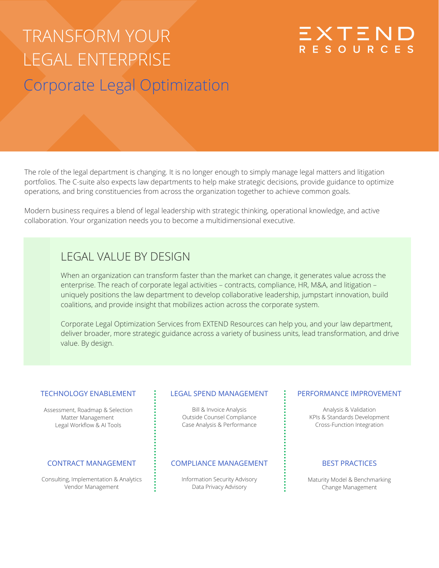# TRANSFORM YOUR LEGAL ENTERPRISE Corporate Legal Optimization

The role of the legal department is changing. It is no longer enough to simply manage legal matters and litigation portfolios. The C-suite also expects law departments to help make strategic decisions, provide guidance to optimize operations, and bring constituencies from across the organization together to achieve common goals.

Modern business requires a blend of legal leadership with strategic thinking, operational knowledge, and active collaboration. Your organization needs you to become a multidimensional executive.

### LEGAL VALUE BY DESIGN

When an organization can transform faster than the market can change, it generates value across the enterprise. The reach of corporate legal activities – contracts, compliance, HR, M&A, and litigation – uniquely positions the law department to develop collaborative leadership, jumpstart innovation, build coalitions, and provide insight that mobilizes action across the corporate system.

Corporate Legal Optimization Services from EXTEND Resources can help you, and your law department, deliver broader, more strategic guidance across a variety of business units, lead transformation, and drive value. By design.

#### TECHNOLOGY ENABLEMENT

Assessment, Roadmap & Selection Matter Management Legal Workflow & AI Tools

#### CONTRACT MANAGEMENT

Consulting, Implementation & Analytics Vendor Management

#### LEGAL SPEND MANAGEMENT

Bill & Invoice Analysis Outside Counsel Compliance Case Analysis & Performance

#### COMPLIANCE MANAGEMENT

Information Security Advisory Data Privacy Advisory

#### PERFORMANCE IMPROVEMENT

EXTEND<br>RESOURCES

Analysis & Validation KPIs & Standards Development Cross-Function Integration

#### BEST PRACTICES

Maturity Model & Benchmarking Change Management